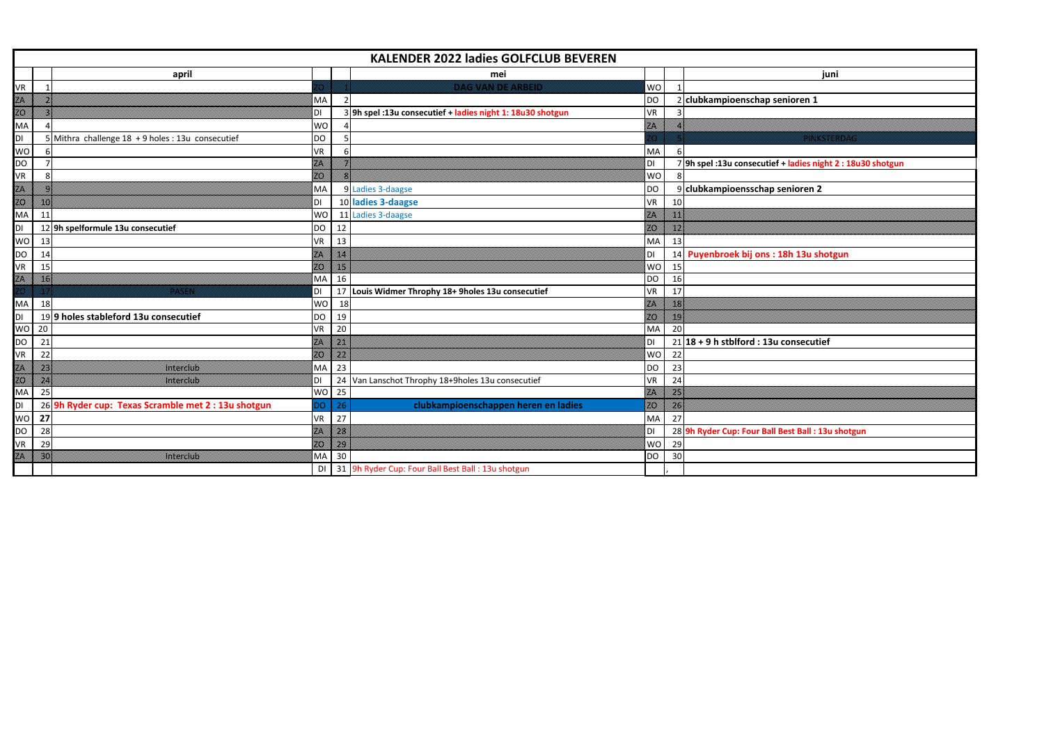|           | <b>KALENDER 2022 ladies GOLFCLUB BEVEREN</b> |                                                     |                 |                                                            |           |    |                                                             |  |  |  |
|-----------|----------------------------------------------|-----------------------------------------------------|-----------------|------------------------------------------------------------|-----------|----|-------------------------------------------------------------|--|--|--|
|           |                                              | april                                               |                 | mei                                                        |           |    | juni                                                        |  |  |  |
| <b>VR</b> | $\overline{1}$                               |                                                     |                 | <b>DAG VAN DE ARBEID</b>                                   | WO        |    |                                                             |  |  |  |
| E         |                                              |                                                     | MA              |                                                            | <b>DO</b> |    | 2 clubkampioenschap senioren 1                              |  |  |  |
|           |                                              |                                                     | DI              | 3 9h spel: 13u consecutief + ladies night 1: 18u30 shotgun | VR        |    |                                                             |  |  |  |
| MA        |                                              |                                                     | <b>WO</b>       |                                                            | w.        |    |                                                             |  |  |  |
| DI        |                                              | 5 Mithra challenge 18 + 9 holes : 13u consecutief   | <b>DO</b>       |                                                            |           |    | PINKSTERDAG                                                 |  |  |  |
| <b>WO</b> |                                              |                                                     | VR              |                                                            | MA        |    |                                                             |  |  |  |
| <b>DO</b> |                                              |                                                     | z.              |                                                            | DI        |    | 7 9h spel: 13u consecutief + ladies night 2 : 18u30 shotgun |  |  |  |
| VR        |                                              |                                                     | zo.             |                                                            | WO        |    |                                                             |  |  |  |
| Ø.        |                                              |                                                     | MA              | 9 Ladies 3-daagse                                          | DO        |    | 9 clubkampioensschap senioren 2                             |  |  |  |
| Ø         | w                                            |                                                     | DI              | 10 ladies 3-daagse                                         | VR        | 10 |                                                             |  |  |  |
| MA        | 11                                           |                                                     | <b>WO</b>       | 11 Ladies 3-daagse                                         | w.        | m  |                                                             |  |  |  |
| DI        |                                              | 12 9h spelformule 13u consecutief                   | <b>DO</b><br>12 |                                                            | m         | m  |                                                             |  |  |  |
| <b>WO</b> | 13                                           |                                                     | 13<br>VR        |                                                            | MA        | 13 |                                                             |  |  |  |
| DO        | 14                                           |                                                     | m.<br>z.        |                                                            | DI        |    | 14 Puyenbroek bij ons : 18h 13u shotgun                     |  |  |  |
| VR        | 15                                           |                                                     | ZO.<br>m        |                                                            | <b>WO</b> | 15 |                                                             |  |  |  |
| W         | ×                                            |                                                     | MA<br>16        |                                                            | DO        | 16 |                                                             |  |  |  |
| w         | œ                                            | ---                                                 | 17<br>DI        | Louis Widmer Throphy 18+ 9holes 13u consecutief            | VR        | 17 |                                                             |  |  |  |
| MA        | 18                                           |                                                     | <b>WO</b>       | 18                                                         | w         | ×  |                                                             |  |  |  |
| DI        |                                              | 199 holes stableford 13u consecutief                | <b>DO</b><br>19 |                                                            | w         | X. |                                                             |  |  |  |
| <b>WO</b> | 20                                           |                                                     | 20<br><b>VR</b> |                                                            | MA        | 20 |                                                             |  |  |  |
| DO        | 21                                           |                                                     | m<br>z.         |                                                            | <b>DI</b> |    | $21 18 + 9$ h stblford : 13u consecutief                    |  |  |  |
| <b>VR</b> | 22                                           |                                                     | m<br>m          |                                                            | <b>WO</b> | 22 |                                                             |  |  |  |
| z         | w.                                           | Interclub                                           | 23<br>MA        |                                                            | DO        | 23 |                                                             |  |  |  |
| Œ         | W.                                           | Interciub                                           | 24<br>DI        | Van Lanschot Throphy 18+9holes 13u consecutief             | VR        | 24 |                                                             |  |  |  |
| MA        | 25                                           |                                                     | <b>WO</b><br>25 |                                                            | w         | m. |                                                             |  |  |  |
| DI        |                                              | 26 9h Ryder cup: Texas Scramble met 2 : 13u shotgun | О               | clubkampioenschappen heren en ladies<br>26                 | w         | x  |                                                             |  |  |  |
| <b>WO</b> | 27                                           |                                                     | VR<br>27        |                                                            | MA        | 27 |                                                             |  |  |  |
| DO        | 28                                           |                                                     | ×<br>m          |                                                            | DI        |    | 28 9h Ryder Cup: Four Ball Best Ball : 13u shotgun          |  |  |  |
| <b>VR</b> | 29                                           |                                                     | ×<br>20.        |                                                            | WO        | 29 |                                                             |  |  |  |
| w.        | w.                                           | mezin                                               | MA<br>30        |                                                            | <b>DO</b> | 30 |                                                             |  |  |  |
|           |                                              |                                                     | DI              | 31 9h Ryder Cup: Four Ball Best Ball : 13u shotgun         |           |    |                                                             |  |  |  |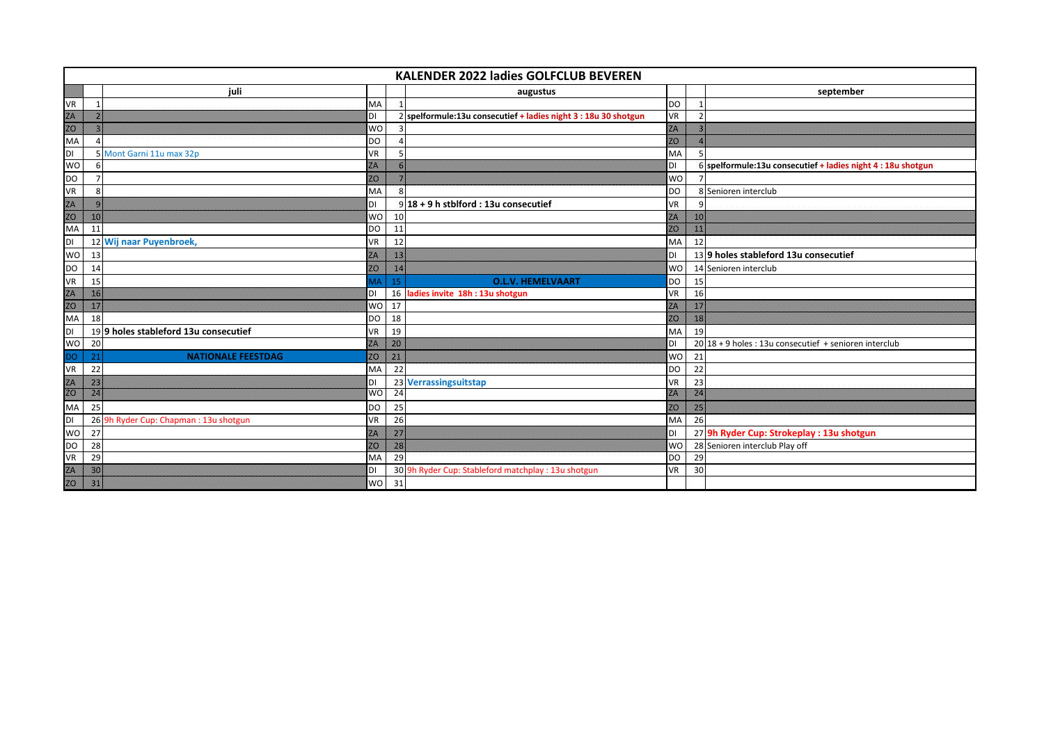| KALENDER 2022 ladies GOLFCLUB BEVEREN |                                                  |    |                                                                 |           |                |                                                              |  |  |  |
|---------------------------------------|--------------------------------------------------|----|-----------------------------------------------------------------|-----------|----------------|--------------------------------------------------------------|--|--|--|
|                                       | iuli                                             |    | augustus                                                        |           |                | september                                                    |  |  |  |
| <b>VR</b>                             | <b>MA</b>                                        |    |                                                                 | <b>DO</b> | - 1            |                                                              |  |  |  |
| E                                     | DI                                               |    | 2 spelformule:13u consecutief + ladies night 3 : 18u 30 shotgun | <b>VR</b> | $\overline{2}$ |                                                              |  |  |  |
|                                       | <b>WO</b>                                        |    |                                                                 | w.        |                |                                                              |  |  |  |
| MA                                    | DO                                               |    |                                                                 | w         |                |                                                              |  |  |  |
| $\overline{D}$                        | 5 Mont Garni 11u max 32p<br>VR                   |    |                                                                 | MA        |                |                                                              |  |  |  |
| <b>WO</b>                             | m.                                               |    |                                                                 | DI        |                | 6 spelformule:13u consecutief + ladies night 4 : 18u shotgun |  |  |  |
| <b>DO</b>                             | m                                                |    |                                                                 | <b>WO</b> |                |                                                              |  |  |  |
| VR                                    | MA                                               |    |                                                                 | DO        |                | 8 Senioren interclub                                         |  |  |  |
|                                       | DI                                               |    | $9$ 18 + 9 h stblford : 13u consecutief                         | <b>VR</b> |                |                                                              |  |  |  |
|                                       | <b>WO</b><br>m                                   | 10 |                                                                 | w         | 30             |                                                              |  |  |  |
| <b>MA</b>                             | <b>DO</b><br>11                                  | 11 |                                                                 | œ         | m              |                                                              |  |  |  |
| DI                                    | Wij naar Puyenbroek,<br>VR<br>12                 | 12 |                                                                 | MA        | 12             |                                                              |  |  |  |
| <b>WO</b>                             | 13<br>m.                                         | w  |                                                                 | DI        |                | 139 holes stableford 13u consecutief                         |  |  |  |
| DO                                    | m.<br>14                                         | m. |                                                                 | <b>WO</b> |                | 14 Senioren interclub                                        |  |  |  |
| VR                                    | ИÂ<br>15                                         | 15 | <b>O.L.V. HEMELVAART</b>                                        | DO        | 15             |                                                              |  |  |  |
| ZA<br>MA                              | ×<br>DI                                          | 16 | ladies invite 18h : 13u shotgun                                 | VR        | 16             |                                                              |  |  |  |
|                                       | <b>WO</b><br>m                                   | 17 |                                                                 | w         | m              |                                                              |  |  |  |
|                                       | 18<br>DO                                         | 18 |                                                                 | œ         | m              |                                                              |  |  |  |
| $\overline{D}$                        | 199 holes stableford 13u consecutief<br>VR       | 19 |                                                                 | MA        | 19             |                                                              |  |  |  |
| <b>WO</b>                             | 20<br>w.                                         | m  |                                                                 | DI        |                | 20 18 + 9 holes : 13u consecutief + senioren interclub       |  |  |  |
| <b>DO</b>                             | <b>NATIONALE FEESTDAG</b><br>w<br>2 <sup>1</sup> | z  |                                                                 | <b>WO</b> | 21             |                                                              |  |  |  |
| <b>VR</b>                             | 22<br>MA                                         | 22 |                                                                 | <b>DO</b> | 22             |                                                              |  |  |  |
| E                                     | DI<br>m                                          |    | 23 Verrassingsuitstap                                           | <b>VR</b> | 23             |                                                              |  |  |  |
|                                       | <b>WO</b><br>m.                                  | 24 |                                                                 | m         | w.             |                                                              |  |  |  |
| MA                                    | 25<br>DO                                         | 25 |                                                                 | m         | m              |                                                              |  |  |  |
| Iрı                                   | 26 9h Ryder Cup: Chapman: 13u shotgun<br>VR      | 26 |                                                                 | MA        | 26             |                                                              |  |  |  |
| <b>WO</b>                             | 27<br>m.                                         | m  |                                                                 | DI        |                | 27 9h Ryder Cup: Strokeplay : 13u shotgun                    |  |  |  |
| DO                                    | 28<br>Z.                                         | z. |                                                                 | <b>WO</b> |                | 28 Senioren interclub Play off                               |  |  |  |
| <b>VR</b>                             | 29<br>MA                                         | 29 |                                                                 | <b>DO</b> | 29             |                                                              |  |  |  |
| E                                     | DI<br>m                                          |    | 30 9h Ryder Cup: Stableford matchplay : 13u shotgun             | <b>VR</b> | 30             |                                                              |  |  |  |
|                                       | m<br><b>WO</b>                                   | 31 |                                                                 |           |                |                                                              |  |  |  |